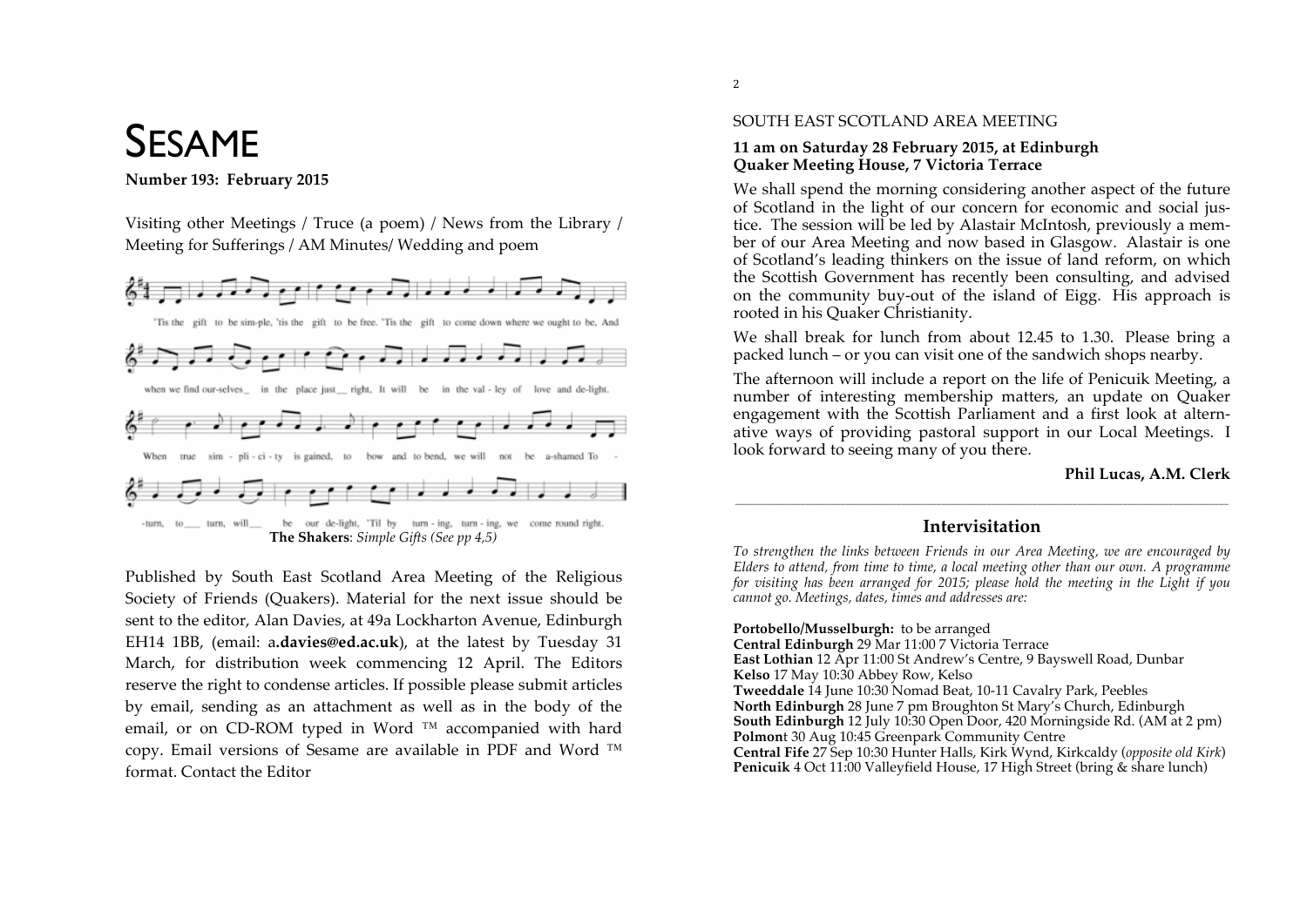# SESAME

#### Number 193: February 2015

Visiting other Meetings / Truce (a poem) / News from the Library / Meeting for Sufferings / AM Minutes/ Wedding and poem



Published by South East Scotland Area Meeting of the Religious Society of Friends (Quakers). Material for the next issue should be sent to the editor, Alan Davies, at 49a Lockharton Avenue, Edinburgh EH14 1BB, (email: a.davies@ed.ac.uk), at the latest by Tuesday 31 March, for distribution week commencing 12 April. The Editors' reserve the right to condense articles. If possible please submit articles by email, sending as an attachment as well as in the body of the email, or on CD-ROM typed in Word<sup>™</sup> accompanied with hard copy. Email versions of Sesame are available in PDF and Word ™ format. Contact the Editor

#### SOUTH EAST SCOTLAND AREA MEETING

#### **11 am on Saturday 28 February 2015, at Edinburgh Quaker Meeting House, 7 Victoria Terrace**

We shall spend the morning considering another aspect of the future of Scotland in the light of our concern for economic and social justice. The session will be led by Alastair McIntosh, previously a member of our Area Meeting and now based in Glasgow. Alastair is one of Scotland's leading thinkers on the issue of land reform, on which the Scottish Government has recently been consulting, and advised on the community buy-out of the island of Eigg. His approach is rooted in his Quaker Christianity.

We shall break for lunch from about 12.45 to 1.30. Please bring a packed lunch – or you can visit one of the sandwich shops nearby.

The afternoon will include a report on the life of Penicuik Meeting, a number of interesting membership matters, an update on Quaker engagement with the Scottish Parliament and a first look at alternative ways of providing pastoral support in our Local Meetings. I look forward to seeing many of you there.

### **Phil Lucas, A.M. Clerk**

## \_\_\_\_\_\_\_\_\_\_\_\_\_\_\_\_\_\_\_\_\_\_\_\_\_\_\_\_\_\_\_\_\_\_\_\_\_\_\_\_\_\_\_\_\_\_\_\_\_\_\_\_\_\_\_\_\_\_\_\_\_\_\_\_\_\_\_\_\_\_\_\_\_\_\_\_\_\_\_\_\_\_\_\_\_\_\_\_\_\_\_\_\_\_\_\_\_\_ **Intervisitation**

*To strengthen the links between Friends in our Area Meeting, we are encouraged by Elders to attend, from time to time, a local meeting other than our own. A programme for visiting has been arranged for 2015; please hold the meeting in the Light if you cannot go. Meetings, dates, times and addresses are:*

**Portobello/Musselburgh:** to be arranged

**Central Edinburgh** 29 Mar 11:00 7 Victoria Terrace **East Lothian** 12 Apr 11:00 St Andrew's Centre, 9 Bayswell Road, Dunbar **Kelso** 17 May 10:30 Abbey Row, Kelso **Tweeddale** 14 June 10:30 Nomad Beat, 10-11 Cavalry Park, Peebles **North Edinburgh** 28 June 7 pm Broughton St Mary's Church, Edinburgh **South Edinburgh** 12 July 10:30 Open Door, 420 Morningside Rd. (AM at 2 pm) **Polmon**t 30 Aug 10:45 Greenpark Community Centre **Central Fife** 27 Sep 10:30 Hunter Halls, Kirk Wynd, Kirkcaldy (*opposite old Kirk*) **Penicuik** 4 Oct 11:00 Valleyfield House, 17 High Street (bring & share lunch)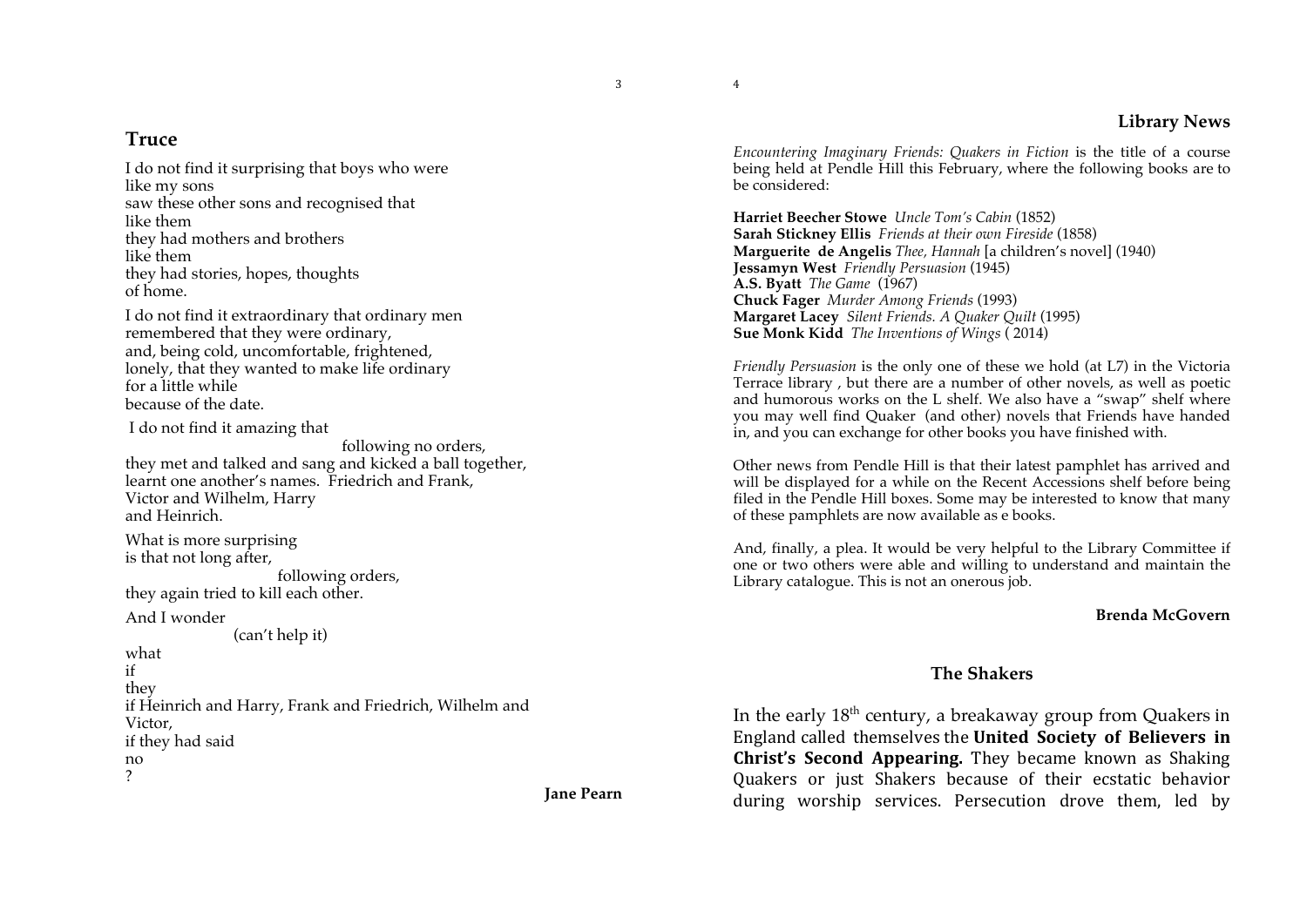#### **Library News**

## **Truce**

I do not find it surprising that boys who were like my sons saw these other sons and recognised that like them they had mothers and brothers like them they had stories, hopes, thoughts of home.

I do not find it extraordinary that ordinary men remembered that they were ordinary, and, being cold, uncomfortable, frightened, lonely, that they wanted to make life ordinary for a little while because of the date.

I do not find it amazing that

following no orders, they met and talked and sang and kicked a ball together, learnt one another's names. Friedrich and Frank, Victor and Wilhelm, Harry and Heinrich.

What is more surprising is that not long after, following orders,

they again tried to kill each other.

And I wonder

(can't help it)

what if they if Heinrich and Harry, Frank and Friedrich, Wilhelm and Victor, if they had said no ?

**Jane Pearn**

*Encountering Imaginary Friends: Quakers in Fiction* is the title of a course being held at Pendle Hill this February, where the following books are to be considered:

**Harriet Beecher Stowe** *Uncle Tom's Cabin* (1852) **Sarah Stickney Ellis** *Friends at their own Fireside* (1858) **Marguerite de Angelis** *Thee, Hannah* [a children's novel] (1940) **Jessamyn West** *Friendly Persuasion* (1945) **A.S. Byatt** *The Game* (1967) **Chuck Fager** *Murder Among Friends* (1993) **Margaret Lacey** *Silent Friends. A Quaker Quilt* (1995) **Sue Monk Kidd** *The Inventions of Wings* ( 2014)

*Friendly Persuasion* is the only one of these we hold (at L7) in the Victoria Terrace library , but there are a number of other novels, as well as poetic and humorous works on the L shelf. We also have a "swap" shelf where you may well find Quaker (and other) novels that Friends have handed in, and you can exchange for other books you have finished with.

Other news from Pendle Hill is that their latest pamphlet has arrived and will be displayed for a while on the Recent Accessions shelf before being filed in the Pendle Hill boxes. Some may be interested to know that many of these pamphlets are now available as e books.

And, finally, a plea. It would be very helpful to the Library Committee if one or two others were able and willing to understand and maintain the Library catalogue. This is not an onerous job.

#### **Brenda McGovern**

## **The Shakers**

In the early  $18<sup>th</sup>$  century, a breakaway group from Quakers in England called themselves the **United' Society' of' Believers' in Christ's Second Appearing.** They became known as Shaking Quakers or just Shakers because of their ecstatic behavior during worship services. Persecution drove them, led by

4

3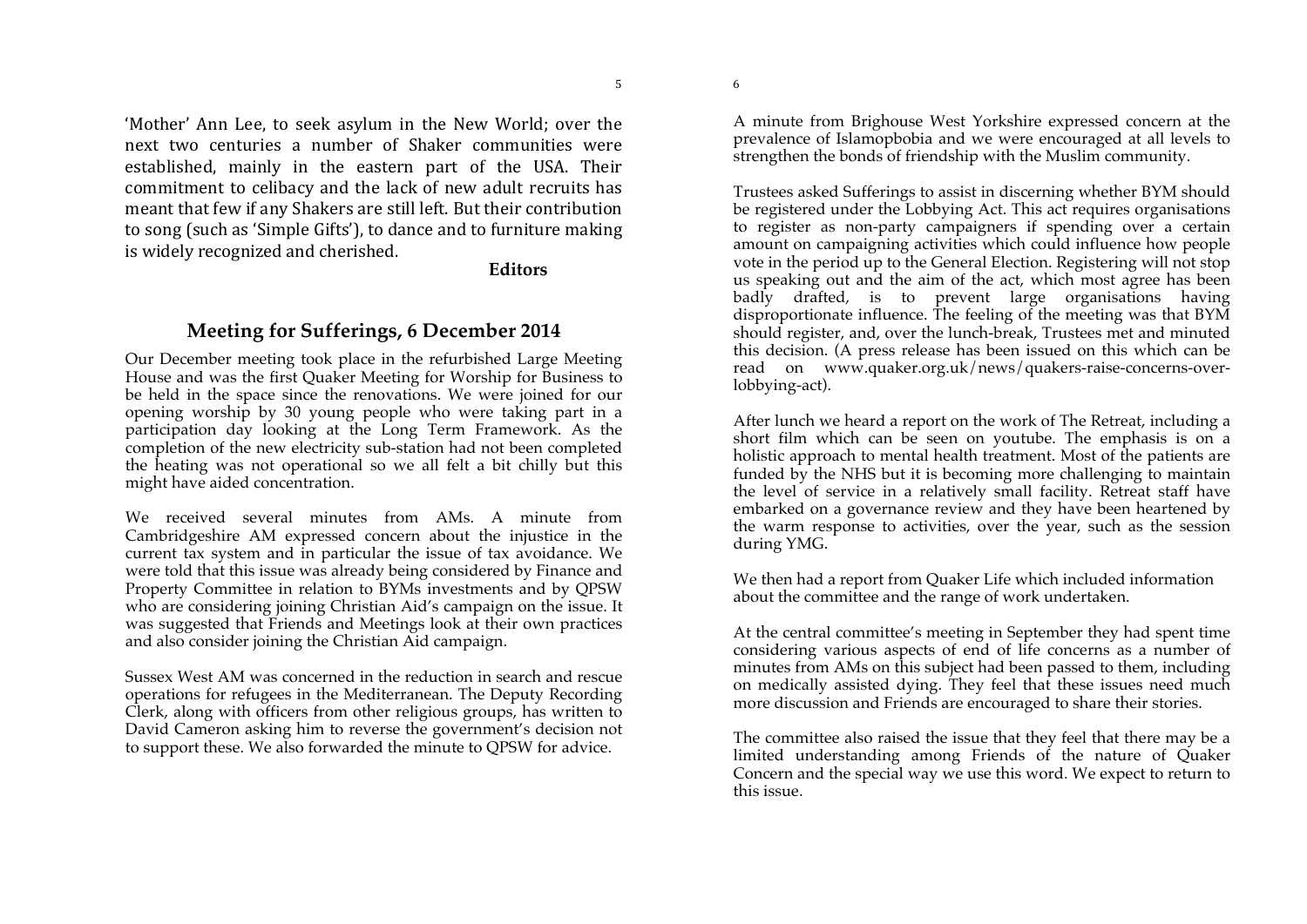6

'Mother' Ann Lee, to seek asylum in the New World; over the next two centuries a number of Shaker communities were established, mainly in the eastern part of the USA. Their commitment to celibacy and the lack of new adult recruits has meant that few if any Shakers are still left. But their contribution to song (such as 'Simple Gifts'), to dance and to furniture making is widely recognized and cherished.

**Editors**

# **Meeting for Sufferings, 6 December 2014**

Our December meeting took place in the refurbished Large Meeting House and was the first Quaker Meeting for Worship for Business to be held in the space since the renovations. We were joined for our opening worship by 30 young people who were taking part in a participation day looking at the Long Term Framework. As the completion of the new electricity sub-station had not been completed the heating was not operational so we all felt a bit chilly but this might have aided concentration.

We received several minutes from AMs. A minute from Cambridgeshire AM expressed concern about the injustice in the current tax system and in particular the issue of tax avoidance. We were told that this issue was already being considered by Finance and Property Committee in relation to BYMs investments and by QPSW who are considering joining Christian Aid's campaign on the issue. It was suggested that Friends and Meetings look at their own practices and also consider joining the Christian Aid campaign.

Sussex West AM was concerned in the reduction in search and rescue operations for refugees in the Mediterranean. The Deputy Recording Clerk, along with officers from other religious groups, has written to David Cameron asking him to reverse the government's decision not to support these. We also forwarded the minute to QPSW for advice.

A minute from Brighouse West Yorkshire expressed concern at the prevalence of Islamopbobia and we were encouraged at all levels to strengthen the bonds of friendship with the Muslim community.

Trustees asked Sufferings to assist in discerning whether BYM should be registered under the Lobbying Act. This act requires organisations to register as non-party campaigners if spending over a certain amount on campaigning activities which could influence how people vote in the period up to the General Election. Registering will not stop us speaking out and the aim of the act, which most agree has been badly drafted, is to prevent large organisations having disproportionate influence. The feeling of the meeting was that BYM should register, and, over the lunch-break, Trustees met and minuted this decision. (A press release has been issued on this which can be read on www.quaker.org.uk/news/quakers-raise-concerns-overlobbying-act).

After lunch we heard a report on the work of The Retreat, including a short film which can be seen on youtube. The emphasis is on a holistic approach to mental health treatment. Most of the patients are funded by the NHS but it is becoming more challenging to maintain the level of service in a relatively small facility. Retreat staff have embarked on a governance review and they have been heartened by the warm response to activities, over the year, such as the session during YMG.

We then had a report from Quaker Life which included information about the committee and the range of work undertaken.

At the central committee's meeting in September they had spent time considering various aspects of end of life concerns as a number of minutes from AMs on this subject had been passed to them, including on medically assisted dying. They feel that these issues need much more discussion and Friends are encouraged to share their stories.

The committee also raised the issue that they feel that there may be a limited understanding among Friends of the nature of Quaker Concern and the special way we use this word. We expect to return to this issue.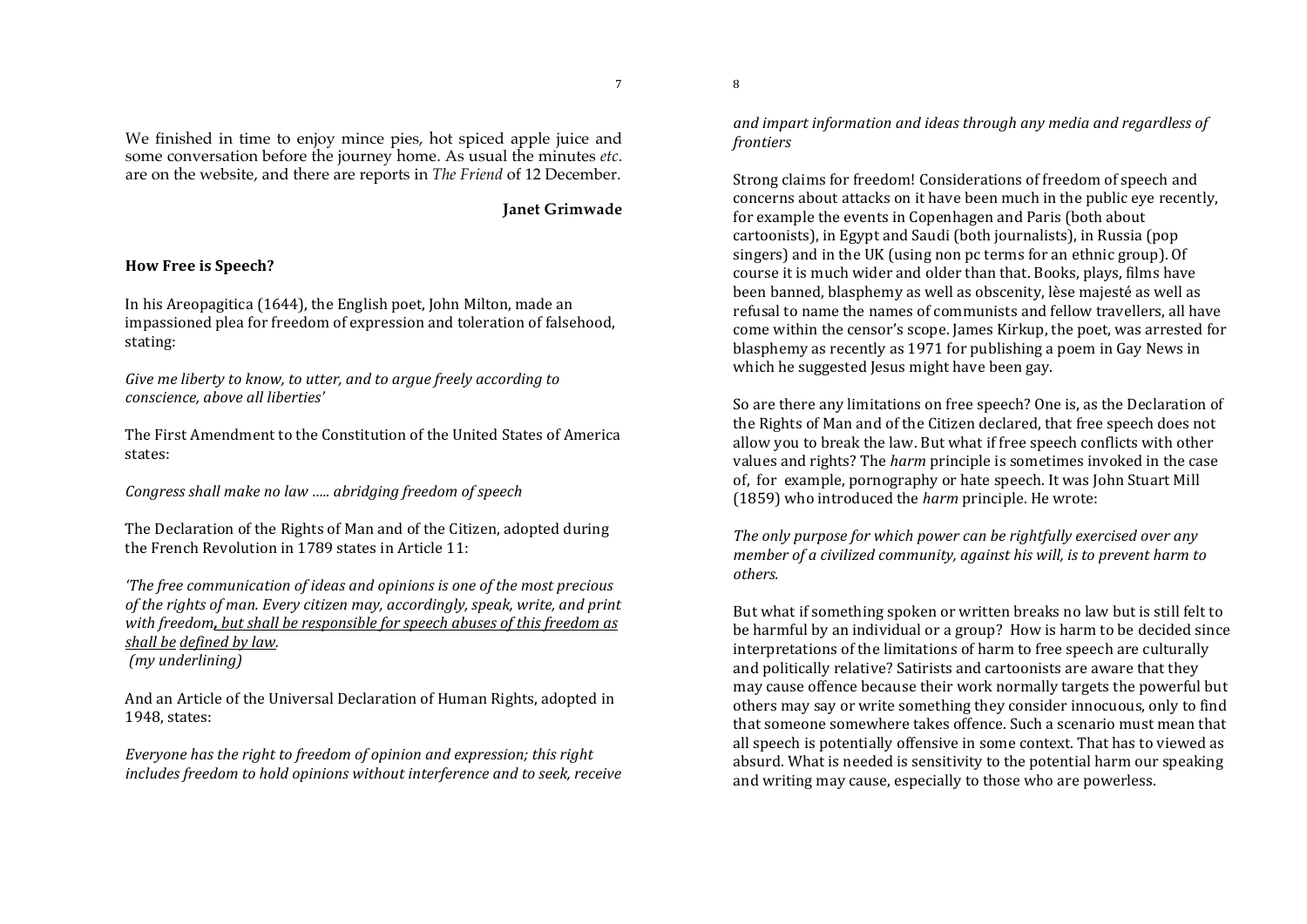We finished in time to enjoy mince pies, hot spiced apple juice and some conversation before the journey home. As usual the minutes *etc*. are on the website, and there are reports in *The Friend* of 12 December.

**Janet Grimwade**

#### **How Free is Speech?**

In his Areopagitica (1644), the English poet, John Milton, made an impassioned plea for freedom of expression and toleration of falsehood, stating:

Give me liberty to know, to utter, and to argue freely according to *conscience,%above%all%liberties'*

The First Amendment to the Constitution of the United States of America states:

*Congress%shall%make%no%law%…..%abridging%freedom%of%speech*

The Declaration of the Rights of Man and of the Citizen, adopted during the French Revolution in 1789 states in Article 11:

*'The free communication of ideas and opinions is one of the most precious* of the rights of man. Every citizen may, accordingly, speak, write, and print *with freedom, but shall be responsible for speech abuses of this freedom as shall be defined by law. (my%underlining)*

And an Article of the Universal Declaration of Human Rights, adopted in 1948, states:

*Everyone has the right to freedom of opinion and expression: this right includes freedom to hold opinions without interference and to seek, receive*  and impart information and ideas through any media and regardless of *frontiers*

Strong claims for freedom! Considerations of freedom of speech and concerns about attacks on it have been much in the public eye recently, for example the events in Copenhagen and Paris (both about cartoonists), in Egypt and Saudi (both journalists), in Russia (pop singers) and in the UK (using non pc terms for an ethnic group). Of course it is much wider and older than that. Books, plays, films have been banned, blasphemy as well as obscenity, lèse majesté as well as refusal to name the names of communists and fellow travellers, all have come within the censor's scope. James Kirkup, the poet, was arrested for blasphemy as recently as 1971 for publishing a poem in Gay News in which he suggested Jesus might have been gay.

So are there any limitations on free speech? One is, as the Declaration of the Rights of Man and of the Citizen declared, that free speech does not allow you to break the law. But what if free speech conflicts with other values and rights? The *harm* principle is sometimes invoked in the case of, for example, pornography or hate speech. It was John Stuart Mill (1859) who introduced the *harm* principle. He wrote:

The only purpose for which power can be rightfully exercised over any *member of a civilized community, against his will, is to prevent harm to others.*

But what if something spoken or written breaks no law but is still felt to be harmful by an individual or a group? How is harm to be decided since interpretations of the limitations of harm to free speech are culturally and politically relative? Satirists and cartoonists are aware that they may cause offence because their work normally targets the powerful but others may say or write something they consider innocuous, only to find that someone somewhere takes offence. Such a scenario must mean that all speech is potentially offensive in some context. That has to viewed as absurd. What is needed is sensitivity to the potential harm our speaking and writing may cause, especially to those who are powerless.

7

8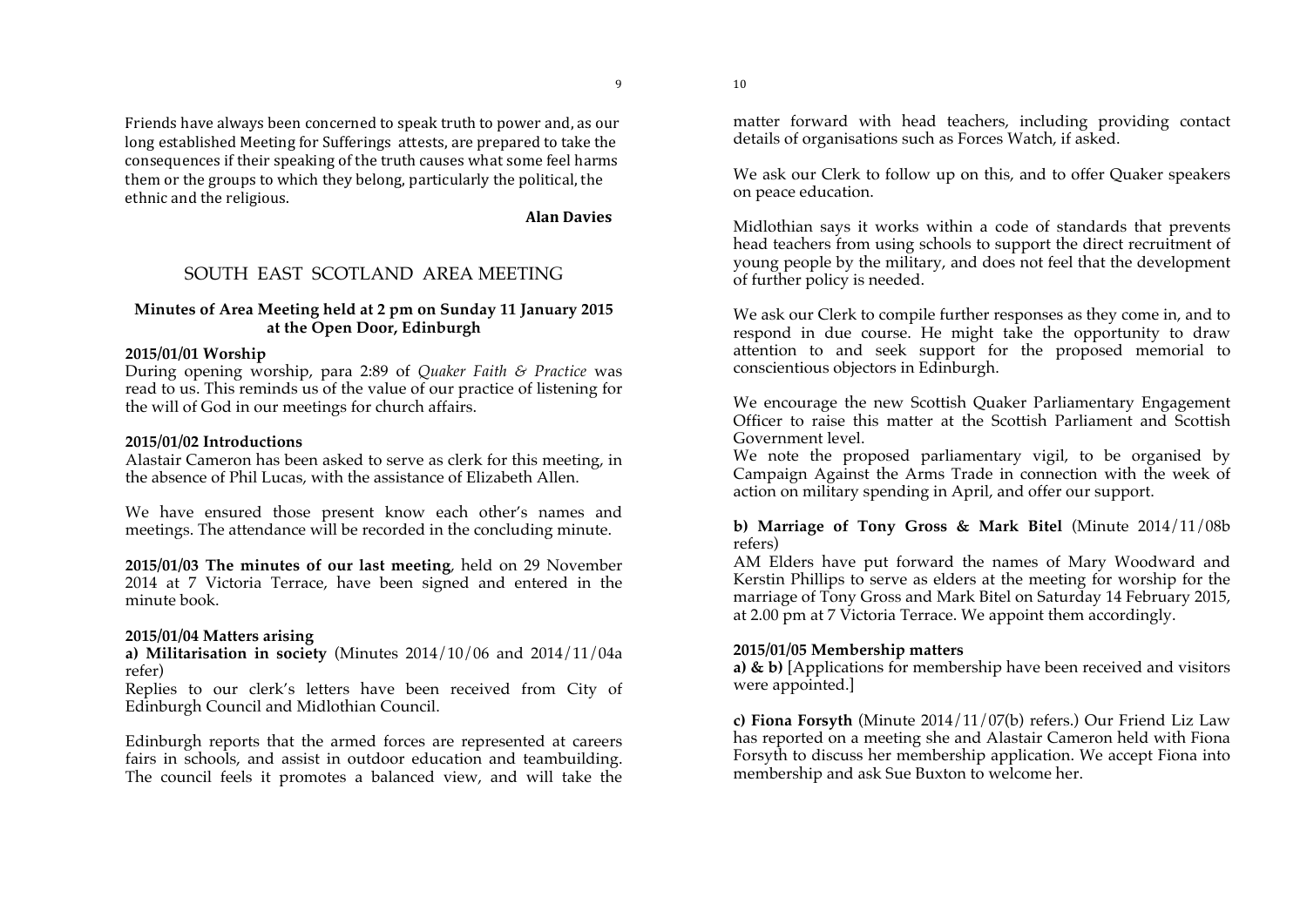9

Friends have always been concerned to speak truth to power and, as our long established Meeting for Sufferings attests, are prepared to take the consequences if their speaking of the truth causes what some feel harms them or the groups to which they belong, particularly the political, the ethnic and the religious.

**Alan Davies** 

## SOUTH EAST SCOTLAND AREA MEETING

#### **Minutes of Area Meeting held at 2 pm on Sunday 11 January 2015 at the Open Door, Edinburgh**

### **2015/01/01 Worship**

During opening worship, para 2:89 of *Quaker Faith & Practice* was read to us. This reminds us of the value of our practice of listening for the will of God in our meetings for church affairs.

### **2015/01/02 Introductions**

Alastair Cameron has been asked to serve as clerk for this meeting, in the absence of Phil Lucas, with the assistance of Elizabeth Allen.

We have ensured those present know each other's names and meetings. The attendance will be recorded in the concluding minute.

**2015/01/03 The minutes of our last meeting**, held on 29 November 2014 at 7 Victoria Terrace, have been signed and entered in the minute book.

### **2015/01/04 Matters arising**

**a) Militarisation in society** (Minutes 2014/10/06 and 2014/11/04a refer)

Replies to our clerk's letters have been received from City of Edinburgh Council and Midlothian Council.

Edinburgh reports that the armed forces are represented at careers fairs in schools, and assist in outdoor education and teambuilding. The council feels it promotes a balanced view, and will take the matter forward with head teachers, including providing contact details of organisations such as Forces Watch, if asked.

We ask our Clerk to follow up on this, and to offer Quaker speakers on peace education.

Midlothian says it works within a code of standards that prevents head teachers from using schools to support the direct recruitment of young people by the military, and does not feel that the development of further policy is needed.

We ask our Clerk to compile further responses as they come in, and to respond in due course. He might take the opportunity to draw attention to and seek support for the proposed memorial to conscientious objectors in Edinburgh.

We encourage the new Scottish Quaker Parliamentary Engagement Officer to raise this matter at the Scottish Parliament and Scottish Government level.

We note the proposed parliamentary vigil, to be organised by Campaign Against the Arms Trade in connection with the week of action on military spending in April, and offer our support.

**b) Marriage of Tony Gross & Mark Bitel** (Minute 2014/11/08b refers)

AM Elders have put forward the names of Mary Woodward and Kerstin Phillips to serve as elders at the meeting for worship for the marriage of Tony Gross and Mark Bitel on Saturday 14 February 2015, at 2.00 pm at 7 Victoria Terrace. We appoint them accordingly.

### **2015/01/05 Membership matters**

**a) & b)** [Applications for membership have been received and visitors were appointed.]

**c) Fiona Forsyth** (Minute 2014/11/07(b) refers.) Our Friend Liz Law has reported on a meeting she and Alastair Cameron held with Fiona Forsyth to discuss her membership application. We accept Fiona into membership and ask Sue Buxton to welcome her.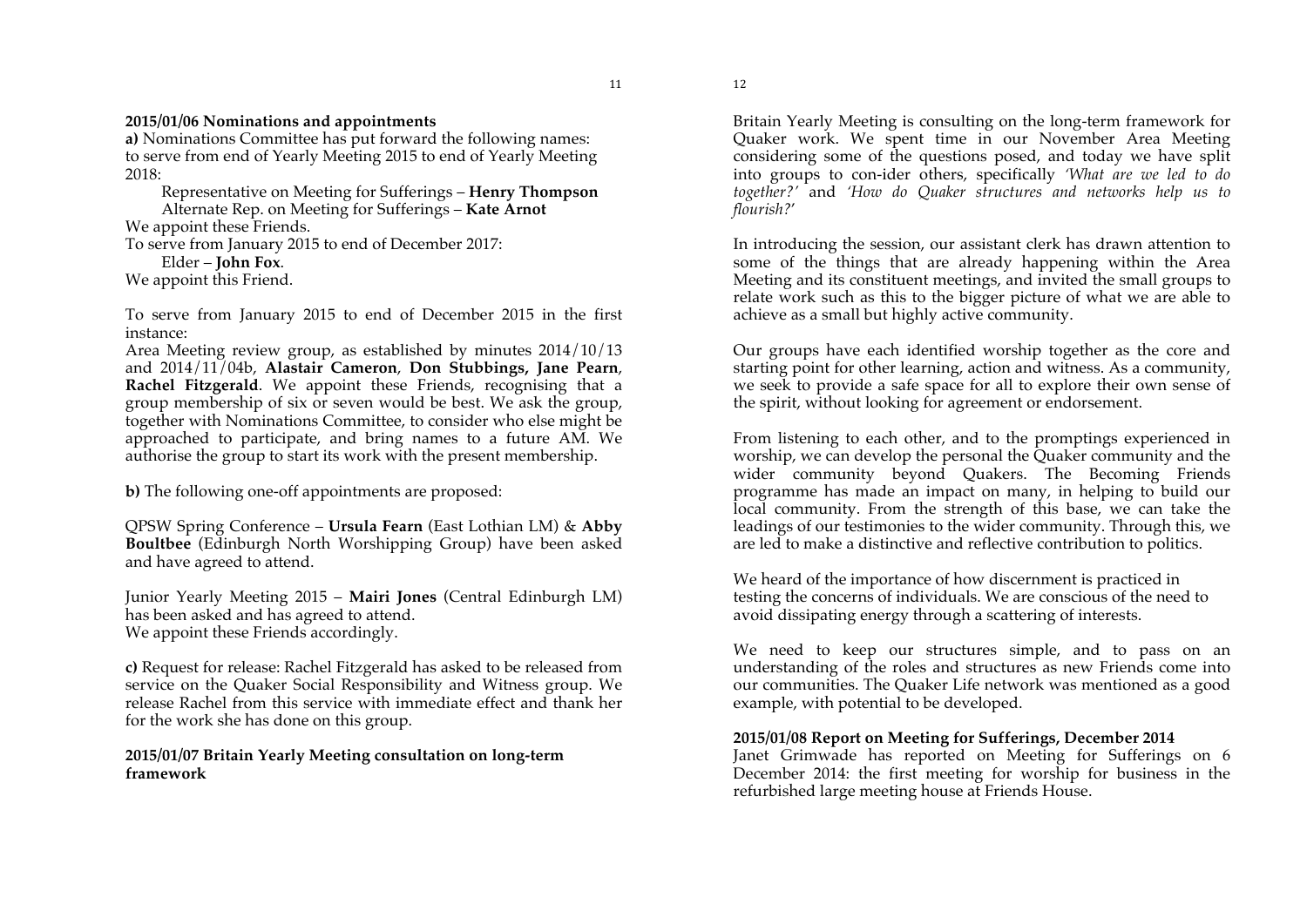#### **2015/01/06 Nominations and appointments**

**a)** Nominations Committee has put forward the following names: to serve from end of Yearly Meeting 2015 to end of Yearly Meeting 2018:

Representative on Meeting for Sufferings – **Henry Thompson** Alternate Rep. on Meeting for Sufferings – **Kate Arnot**

We appoint these Friends.

To serve from January 2015 to end of December 2017:

Elder – **John Fox**.

We appoint this Friend.

To serve from January 2015 to end of December 2015 in the first instance:

Area Meeting review group, as established by minutes 2014/10/13 and 2014/11/04b, **Alastair Cameron**, **Don Stubbings, Jane Pearn**, **Rachel Fitzgerald**. We appoint these Friends, recognising that a group membership of six or seven would be best. We ask the group, together with Nominations Committee, to consider who else might be approached to participate, and bring names to a future AM. We authorise the group to start its work with the present membership.

**b)** The following one-off appointments are proposed:

QPSW Spring Conference – **Ursula Fearn** (East Lothian LM) & **Abby Boultbee** (Edinburgh North Worshipping Group) have been asked and have agreed to attend.

Junior Yearly Meeting 2015 – **Mairi Jones** (Central Edinburgh LM) has been asked and has agreed to attend. We appoint these Friends accordingly.

**c)** Request for release: Rachel Fitzgerald has asked to be released from service on the Quaker Social Responsibility and Witness group. We release Rachel from this service with immediate effect and thank her for the work she has done on this group.

**2015/01/07 Britain Yearly Meeting consultation on long-term framework** 

12

Britain Yearly Meeting is consulting on the long-term framework for Quaker work. We spent time in our November Area Meeting considering some of the questions posed, and today we have split into groups to con-ider others, specifically *'What are we led to do together?'* and *'How do Quaker structures and networks help us to flourish?*'

In introducing the session, our assistant clerk has drawn attention to some of the things that are already happening within the Area Meeting and its constituent meetings, and invited the small groups to relate work such as this to the bigger picture of what we are able to achieve as a small but highly active community.

Our groups have each identified worship together as the core and starting point for other learning, action and witness. As a community, we seek to provide a safe space for all to explore their own sense of the spirit, without looking for agreement or endorsement.

From listening to each other, and to the promptings experienced in worship, we can develop the personal the Quaker community and the wider community beyond Quakers. The Becoming Friends programme has made an impact on many, in helping to build our local community. From the strength of this base, we can take the leadings of our testimonies to the wider community. Through this, we are led to make a distinctive and reflective contribution to politics.

We heard of the importance of how discernment is practiced in testing the concerns of individuals. We are conscious of the need to avoid dissipating energy through a scattering of interests.

We need to keep our structures simple, and to pass on an understanding of the roles and structures as new Friends come into our communities. The Quaker Life network was mentioned as a good example, with potential to be developed.

#### **2015/01/08 Report on Meeting for Sufferings, December 2014**

Janet Grimwade has reported on Meeting for Sufferings on 6 December 2014: the first meeting for worship for business in the refurbished large meeting house at Friends House.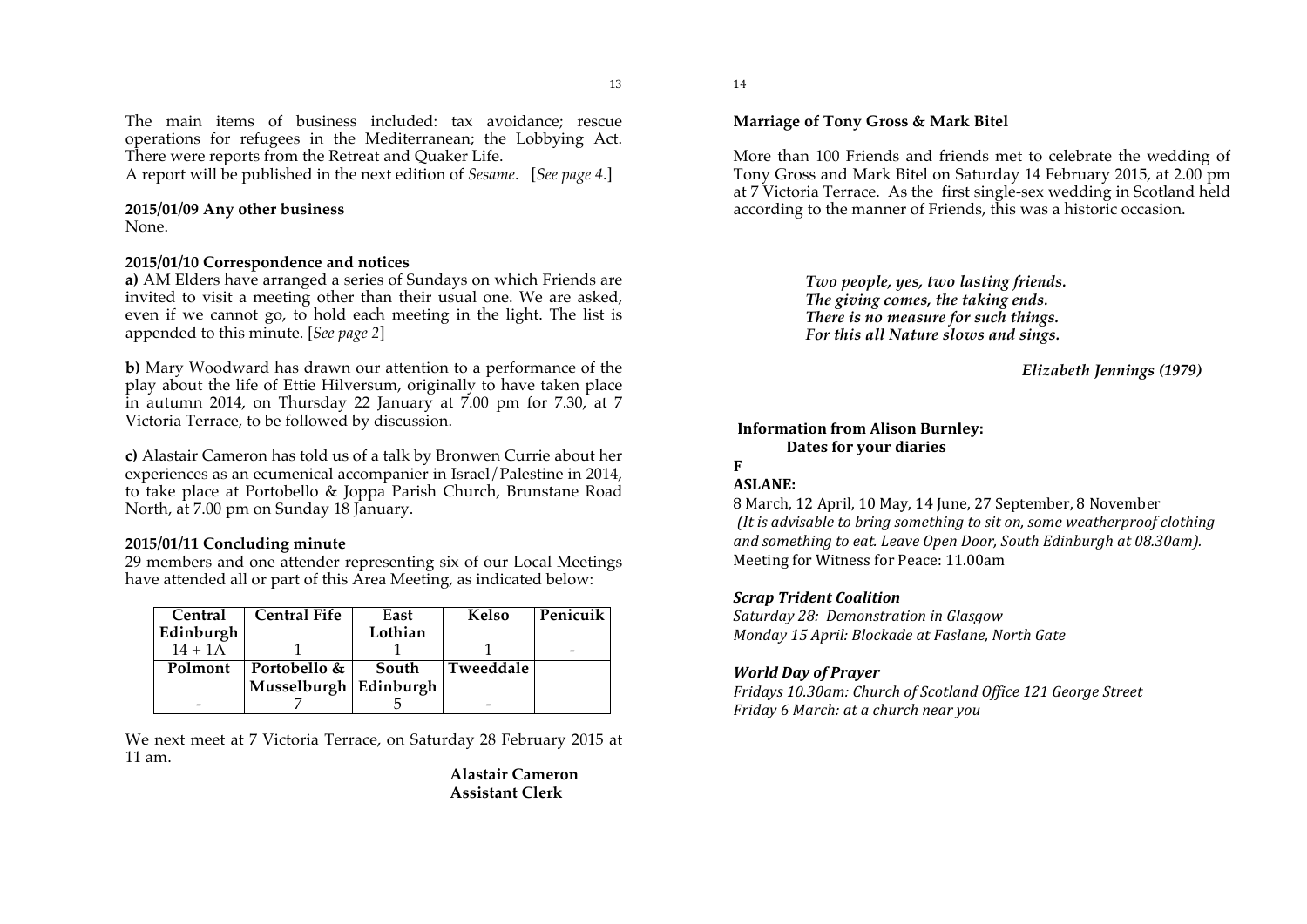The main items of business included: tax avoidance; rescue operations for refugees in the Mediterranean; the Lobbying Act. There were reports from the Retreat and Quaker Life.

A report will be published in the next edition of *Sesame*. [*See page 4.*]

#### **2015/01/09 Any other business**

None.

#### **2015/01/10 Correspondence and notices**

**a)** AM Elders have arranged a series of Sundays on which Friends are invited to visit a meeting other than their usual one. We are asked, even if we cannot go, to hold each meeting in the light. The list is appended to this minute. [*See page 2*]

**b)** Mary Woodward has drawn our attention to a performance of the play about the life of Ettie Hilversum, originally to have taken place in autumn 2014, on Thursday 22 January at 7.00 pm for 7.30, at 7 Victoria Terrace, to be followed by discussion.

**c)** Alastair Cameron has told us of a talk by Bronwen Currie about her experiences as an ecumenical accompanier in Israel/Palestine in 2014, to take place at Portobello & Joppa Parish Church, Brunstane Road North, at 7.00 pm on Sunday 18 January.

### **2015/01/11 Concluding minute**

29 members and one attender representing six of our Local Meetings have attended all or part of this Area Meeting, as indicated below:

| <b>Central</b> | <b>Central Fife</b>   | East    | <b>Kelso</b> | Penicuik |
|----------------|-----------------------|---------|--------------|----------|
| Edinburgh      |                       | Lothian |              |          |
| $14 + 1A$      |                       |         |              |          |
| Polmont        | Portobello &          | South   | Tweeddale    |          |
|                | Musselburgh Edinburgh |         |              |          |
|                |                       |         |              |          |

We next meet at 7 Victoria Terrace, on Saturday 28 February 2015 at 11 am.

> **Alastair Cameron Assistant Clerk**

14

### **Marriage of Tony Gross & Mark Bitel**

More than 100 Friends and friends met to celebrate the wedding of Tony Gross and Mark Bitel on Saturday 14 February 2015, at 2.00 pm at 7 Victoria Terrace. As the first single-sex wedding in Scotland held according to the manner of Friends, this was a historic occasion.

> *Two people, yes, two lasting friends. The giving comes, the taking ends. There is no measure for such things. For this all Nature slows and sings.*

> > *Elizabeth Jennings (1979)*

#### **Information'from'Alison'Burnley:' Dates for your diaries**

### **F**

#### **ASLANE:'**

8 March, 12 April, 10 May, 14 June, 27 September, 8 November *(It is advisable to bring something to sit on, some weatherproof clothing* and something to eat. Leave Open Door, South Edinburgh at 08.30am). Meeting for Witness for Peace: 11.00am

#### *Scrap"Trident"Coalition*

*Saturday%28:%%Demonstration%in%Glasgow Monday%15%April:%Blockade%at%Faslane,%North%Gate*

#### *World Day of Prayer*

*Fridays%10.30am:%Church%of%Scotland%Office%121%George%Street Friday%6%March:%at%a%church%near%you*